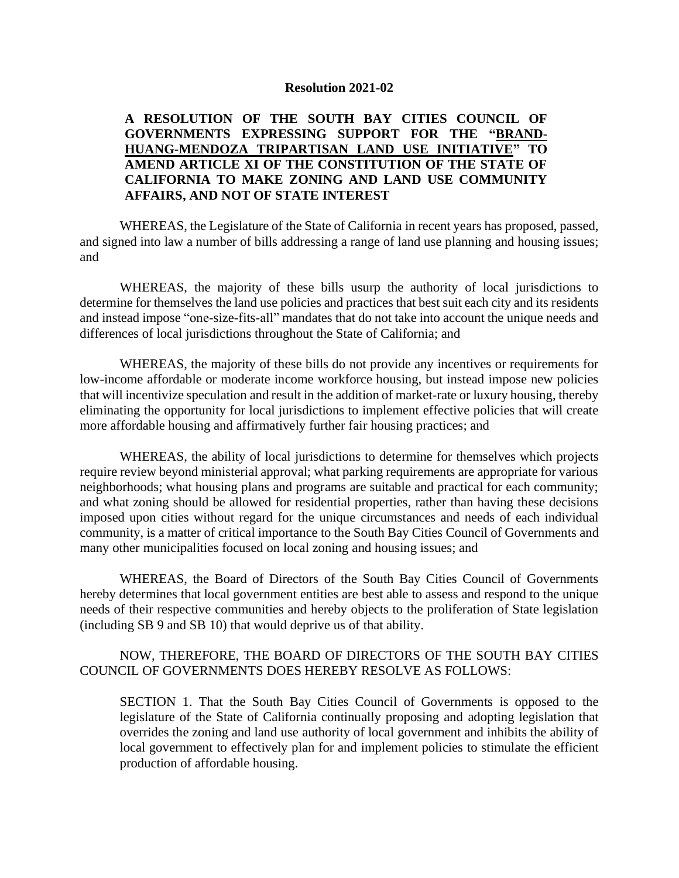## **Resolution 2021-02**

## **A RESOLUTION OF THE SOUTH BAY CITIES COUNCIL OF GOVERNMENTS EXPRESSING SUPPORT FOR THE "BRAND-HUANG-MENDOZA TRIPARTISAN LAND USE INITIATIVE" TO AMEND ARTICLE XI OF THE CONSTITUTION OF THE STATE OF CALIFORNIA TO MAKE ZONING AND LAND USE COMMUNITY AFFAIRS, AND NOT OF STATE INTEREST**

WHEREAS, the Legislature of the State of California in recent years has proposed, passed, and signed into law a number of bills addressing a range of land use planning and housing issues; and

WHEREAS, the majority of these bills usurp the authority of local jurisdictions to determine for themselves the land use policies and practices that best suit each city and its residents and instead impose "one-size-fits-all" mandates that do not take into account the unique needs and differences of local jurisdictions throughout the State of California; and

WHEREAS, the majority of these bills do not provide any incentives or requirements for low-income affordable or moderate income workforce housing, but instead impose new policies that will incentivize speculation and result in the addition of market-rate or luxury housing, thereby eliminating the opportunity for local jurisdictions to implement effective policies that will create more affordable housing and affirmatively further fair housing practices; and

WHEREAS, the ability of local jurisdictions to determine for themselves which projects require review beyond ministerial approval; what parking requirements are appropriate for various neighborhoods; what housing plans and programs are suitable and practical for each community; and what zoning should be allowed for residential properties, rather than having these decisions imposed upon cities without regard for the unique circumstances and needs of each individual community, is a matter of critical importance to the South Bay Cities Council of Governments and many other municipalities focused on local zoning and housing issues; and

WHEREAS, the Board of Directors of the South Bay Cities Council of Governments hereby determines that local government entities are best able to assess and respond to the unique needs of their respective communities and hereby objects to the proliferation of State legislation (including SB 9 and SB 10) that would deprive us of that ability.

## NOW, THEREFORE, THE BOARD OF DIRECTORS OF THE SOUTH BAY CITIES COUNCIL OF GOVERNMENTS DOES HEREBY RESOLVE AS FOLLOWS:

SECTION 1. That the South Bay Cities Council of Governments is opposed to the legislature of the State of California continually proposing and adopting legislation that overrides the zoning and land use authority of local government and inhibits the ability of local government to effectively plan for and implement policies to stimulate the efficient production of affordable housing.